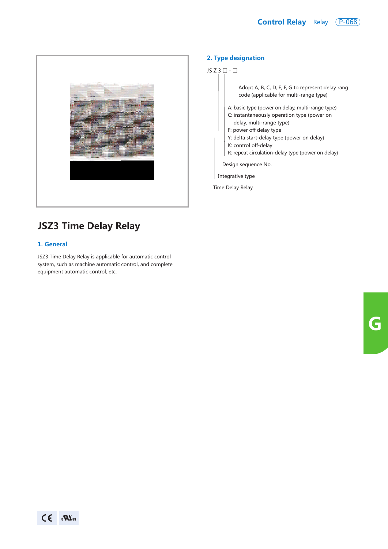

# **JSZ3 Time Delay Relay**

#### **1. General**

JSZ3 Time Delay Relay is applicable for automatic control system, such as machine automatic control, and complete equipment automatic control, etc.

#### **2. Type designation**

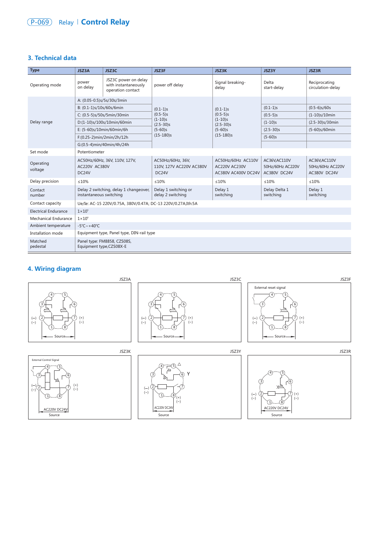## **Relay | Control Relay** Relay **Control Relay**

#### **3. Technical data**

| <b>Type</b>                 | JSZ3A                                                             | JSZ3C                                                             | JSZ3F                                                                                | <b>JSZ3K</b>                                                                         | <b>JSZ3Y</b>                                      | JSZ3R                                             |
|-----------------------------|-------------------------------------------------------------------|-------------------------------------------------------------------|--------------------------------------------------------------------------------------|--------------------------------------------------------------------------------------|---------------------------------------------------|---------------------------------------------------|
| Operating mode              | power<br>on delay                                                 | JSZ3C power on delay<br>with instantaneously<br>operation contact | power off delay                                                                      | Signal breaking-<br>delay                                                            | Delta<br>start-delay                              | Reciprocating<br>circulation-delay                |
| Delay range                 | A: (0.05-0.5)s/5s/30s/3min                                        |                                                                   | $(0.1-1)s$<br>$(0.5-5)s$<br>$(1-10)s$<br>$(2.5 - 30)s$<br>$(5 - 60)s$<br>$(15-180)s$ | $(0.1-1)s$<br>$(0.5-5)s$<br>$(1-10)s$<br>$(2.5 - 30)s$<br>$(5 - 60)s$<br>$(15-180)s$ |                                                   |                                                   |
|                             | B: (0.1-1)s/10s/60s/6min                                          |                                                                   |                                                                                      |                                                                                      | $(0.1-1)s$                                        | $(0.5-6)$ s/60s                                   |
|                             | C: (0.5-5)s/50s/5min/30min                                        |                                                                   |                                                                                      |                                                                                      | $(0.5-5)s$                                        | $(1-10)s/10min$                                   |
|                             | D:(1-10)s/100s/10min/60min                                        |                                                                   |                                                                                      |                                                                                      | $(1-10)s$                                         | $(2.5 - 30)s/30min$                               |
|                             | E: (5-60)s/10min/60min/6h                                         |                                                                   |                                                                                      |                                                                                      | $(2.5 - 30)s$                                     | (5-60)s/60min                                     |
|                             | $F:(0.25-2)min/2min/2h/12h$                                       |                                                                   |                                                                                      |                                                                                      | $(5 - 60)s$                                       |                                                   |
|                             | G:(0.5-4)min/40min/4h/24h                                         |                                                                   |                                                                                      |                                                                                      |                                                   |                                                   |
| Set mode                    | Potentiometer                                                     |                                                                   |                                                                                      |                                                                                      |                                                   |                                                   |
| Operating<br>voltage        | AC50Hz/60Hz, 36V, 110V, 127V,<br>AC220V AC380V<br>DC24V           |                                                                   | AC50Hz/60Hz, 36V,<br>110V. 127V AC220V AC380V<br>DC24V                               | AC50Hz/60Hz AC110V<br><b>AC220V AC230V</b><br>AC380V AC400V DC24V                    | AC36V, AC110V<br>50Hz/60Hz AC220V<br>AC380V DC24V | AC36V, AC110V<br>50Hz/60Hz AC220V<br>AC380V DC24V |
| Delay precision             | ≤10%                                                              |                                                                   | $\leq 10\%$                                                                          | ≤10%                                                                                 | ≤10%                                              | $\leq 10\%$                                       |
| Contact<br>number           | Delay 2 switching, delay 1 changeover,<br>instantaneous switching |                                                                   | Delay 1 switching or<br>delay 2 switching                                            | Delay 1<br>switching                                                                 | Delay Delta 1<br>switching                        | Delay 1<br>switching                              |
| Contact capacity            | Ue/Ie: AC-15 220V/0.75A, 380V/0.47A; DC-13 220V/0.27A;Ith:5A      |                                                                   |                                                                                      |                                                                                      |                                                   |                                                   |
| <b>Electrical Endurance</b> | $1 \times 10^5$                                                   |                                                                   |                                                                                      |                                                                                      |                                                   |                                                   |
| Mechanical Endurance        | $1 \times 10^6$                                                   |                                                                   |                                                                                      |                                                                                      |                                                   |                                                   |
| Ambient temperature         | $-5^{\circ}$ C ~ +40 $^{\circ}$ C                                 |                                                                   |                                                                                      |                                                                                      |                                                   |                                                   |
| Installation mode           | Equipment type, Panel type, DIN-rail type                         |                                                                   |                                                                                      |                                                                                      |                                                   |                                                   |
| Matched<br>pedestal         | Panel type: FM8858, CZS08S,<br>Equipment type,CZS08X-E            |                                                                   |                                                                                      |                                                                                      |                                                   |                                                   |

## **4. Wiring diagram**